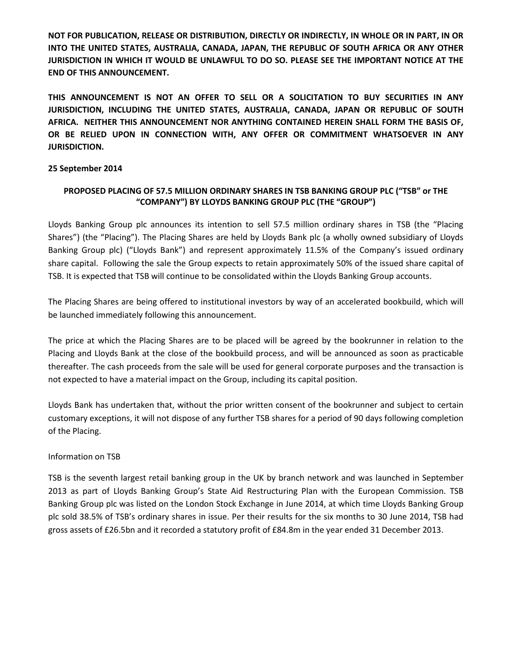**NOT FOR PUBLICATION, RELEASE OR DISTRIBUTION, DIRECTLY OR INDIRECTLY, IN WHOLE OR IN PART, IN OR INTO THE UNITED STATES, AUSTRALIA, CANADA, JAPAN, THE REPUBLIC OF SOUTH AFRICA OR ANY OTHER JURISDICTION IN WHICH IT WOULD BE UNLAWFUL TO DO SO. PLEASE SEE THE IMPORTANT NOTICE AT THE END OF THIS ANNOUNCEMENT.**

**THIS ANNOUNCEMENT IS NOT AN OFFER TO SELL OR A SOLICITATION TO BUY SECURITIES IN ANY JURISDICTION, INCLUDING THE UNITED STATES, AUSTRALIA, CANADA, JAPAN OR REPUBLIC OF SOUTH AFRICA. NEITHER THIS ANNOUNCEMENT NOR ANYTHING CONTAINED HEREIN SHALL FORM THE BASIS OF, OR BE RELIED UPON IN CONNECTION WITH, ANY OFFER OR COMMITMENT WHATSOEVER IN ANY JURISDICTION.**

## **25 September 2014**

# **PROPOSED PLACING OF 57.5 MILLION ORDINARY SHARES IN TSB BANKING GROUP PLC ("TSB" or THE "COMPANY") BY LLOYDS BANKING GROUP PLC (THE "GROUP")**

Lloyds Banking Group plc announces its intention to sell 57.5 million ordinary shares in TSB (the "Placing Shares") (the "Placing"). The Placing Shares are held by Lloyds Bank plc (a wholly owned subsidiary of Lloyds Banking Group plc) ("Lloyds Bank") and represent approximately 11.5% of the Company's issued ordinary share capital. Following the sale the Group expects to retain approximately 50% of the issued share capital of TSB. It is expected that TSB will continue to be consolidated within the Lloyds Banking Group accounts.

The Placing Shares are being offered to institutional investors by way of an accelerated bookbuild, which will be launched immediately following this announcement.

The price at which the Placing Shares are to be placed will be agreed by the bookrunner in relation to the Placing and Lloyds Bank at the close of the bookbuild process, and will be announced as soon as practicable thereafter. The cash proceeds from the sale will be used for general corporate purposes and the transaction is not expected to have a material impact on the Group, including its capital position.

Lloyds Bank has undertaken that, without the prior written consent of the bookrunner and subject to certain customary exceptions, it will not dispose of any further TSB shares for a period of 90 days following completion of the Placing.

### Information on TSB

TSB is the seventh largest retail banking group in the UK by branch network and was launched in September 2013 as part of Lloyds Banking Group's State Aid Restructuring Plan with the European Commission. TSB Banking Group plc was listed on the London Stock Exchange in June 2014, at which time Lloyds Banking Group plc sold 38.5% of TSB's ordinary shares in issue. Per their results for the six months to 30 June 2014, TSB had gross assets of £26.5bn and it recorded a statutory profit of £84.8m in the year ended 31 December 2013.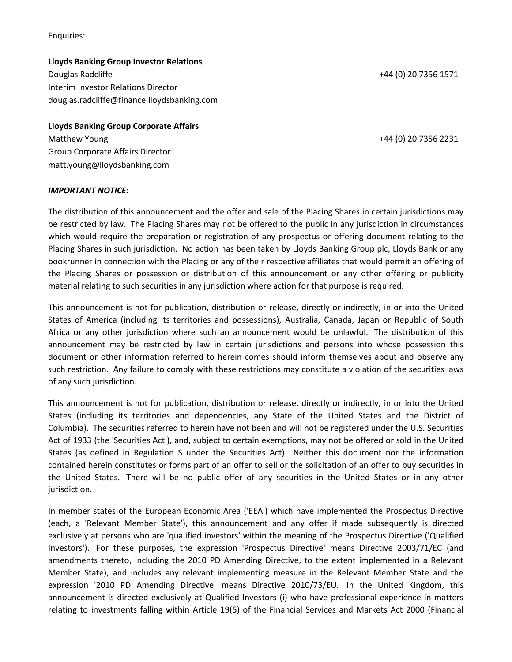Enquiries:

**Lloyds Banking Group Investor Relations** Douglas Radcliffe +44 (0) 20 7356 1571 Interim Investor Relations Director

douglas.radcliffe@finance.lloydsbanking.com

**Lloyds Banking Group Corporate Affairs** Matthew Young +44 (0) 20 7356 2231 Group Corporate Affairs Director matt.young@lloydsbanking.com

### *IMPORTANT NOTICE:*

The distribution of this announcement and the offer and sale of the Placing Shares in certain jurisdictions may be restricted by law. The Placing Shares may not be offered to the public in any jurisdiction in circumstances which would require the preparation or registration of any prospectus or offering document relating to the Placing Shares in such jurisdiction. No action has been taken by Lloyds Banking Group plc, Lloyds Bank or any bookrunner in connection with the Placing or any of their respective affiliates that would permit an offering of the Placing Shares or possession or distribution of this announcement or any other offering or publicity material relating to such securities in any jurisdiction where action for that purpose is required.

This announcement is not for publication, distribution or release, directly or indirectly, in or into the United States of America (including its territories and possessions), Australia, Canada, Japan or Republic of South Africa or any other jurisdiction where such an announcement would be unlawful. The distribution of this announcement may be restricted by law in certain jurisdictions and persons into whose possession this document or other information referred to herein comes should inform themselves about and observe any such restriction. Any failure to comply with these restrictions may constitute a violation of the securities laws of any such jurisdiction.

This announcement is not for publication, distribution or release, directly or indirectly, in or into the United States (including its territories and dependencies, any State of the United States and the District of Columbia). The securities referred to herein have not been and will not be registered under the U.S. Securities Act of 1933 (the 'Securities Act'), and, subject to certain exemptions, may not be offered or sold in the United States (as defined in Regulation S under the Securities Act). Neither this document nor the information contained herein constitutes or forms part of an offer to sell or the solicitation of an offer to buy securities in the United States. There will be no public offer of any securities in the United States or in any other jurisdiction.

In member states of the European Economic Area ('EEA') which have implemented the Prospectus Directive (each, a 'Relevant Member State'), this announcement and any offer if made subsequently is directed exclusively at persons who are 'qualified investors' within the meaning of the Prospectus Directive ('Qualified Investors'). For these purposes, the expression 'Prospectus Directive' means Directive 2003/71/EC (and amendments thereto, including the 2010 PD Amending Directive, to the extent implemented in a Relevant Member State), and includes any relevant implementing measure in the Relevant Member State and the expression '2010 PD Amending Directive' means Directive 2010/73/EU. In the United Kingdom, this announcement is directed exclusively at Qualified Investors (i) who have professional experience in matters relating to investments falling within Article 19(5) of the Financial Services and Markets Act 2000 (Financial